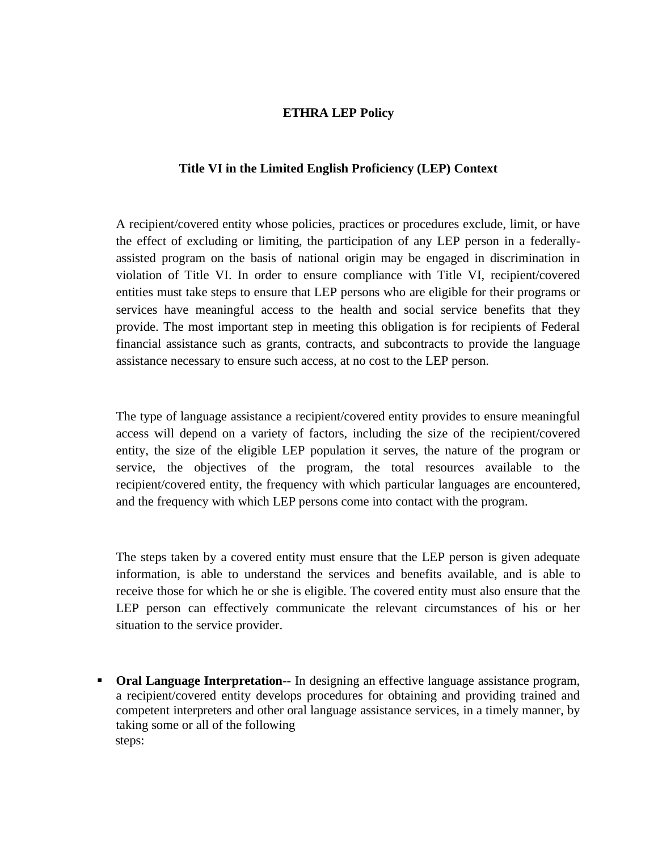### **ETHRA LEP Policy**

#### **Title VI in the Limited English Proficiency (LEP) Context**

A recipient/covered entity whose policies, practices or procedures exclude, limit, or have the effect of excluding or limiting, the participation of any LEP person in a federallyassisted program on the basis of national origin may be engaged in discrimination in violation of Title VI. In order to ensure compliance with Title VI, recipient/covered entities must take steps to ensure that LEP persons who are eligible for their programs or services have meaningful access to the health and social service benefits that they provide. The most important step in meeting this obligation is for recipients of Federal financial assistance such as grants, contracts, and subcontracts to provide the language assistance necessary to ensure such access, at no cost to the LEP person.

The type of language assistance a recipient/covered entity provides to ensure meaningful access will depend on a variety of factors, including the size of the recipient/covered entity, the size of the eligible LEP population it serves, the nature of the program or service, the objectives of the program, the total resources available to the recipient/covered entity, the frequency with which particular languages are encountered, and the frequency with which LEP persons come into contact with the program.

The steps taken by a covered entity must ensure that the LEP person is given adequate information, is able to understand the services and benefits available, and is able to receive those for which he or she is eligible. The covered entity must also ensure that the LEP person can effectively communicate the relevant circumstances of his or her situation to the service provider.

**• Oral Language Interpretation**— In designing an effective language assistance program, a recipient/covered entity develops procedures for obtaining and providing trained and competent interpreters and other oral language assistance services, in a timely manner, by taking some or all of the following steps: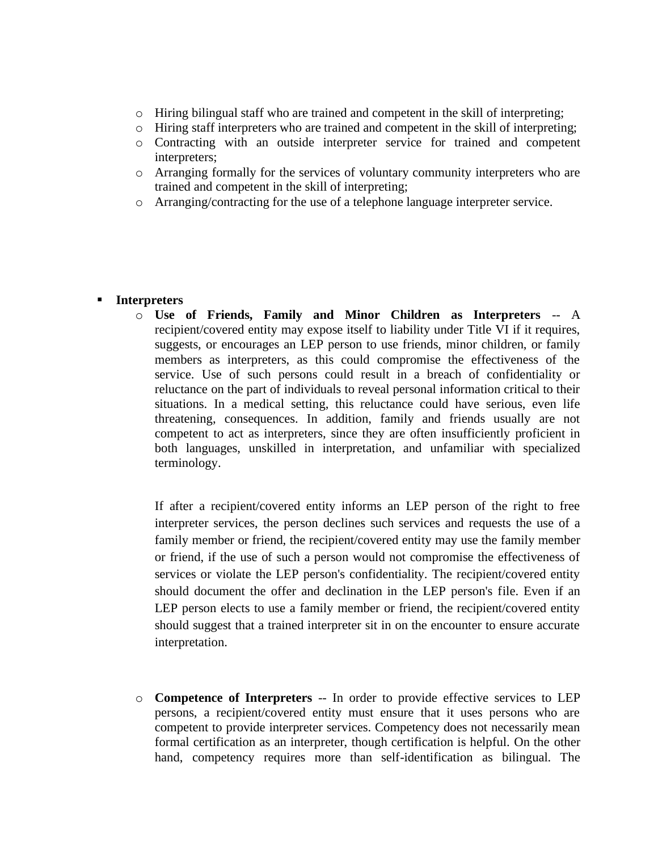- $\circ$  Hiring bilingual staff who are trained and competent in the skill of interpreting;
- o Hiring staff interpreters who are trained and competent in the skill of interpreting;
- o Contracting with an outside interpreter service for trained and competent interpreters;
- o Arranging formally for the services of voluntary community interpreters who are trained and competent in the skill of interpreting;
- o Arranging/contracting for the use of a telephone language interpreter service.

### ▪ **Interpreters**

o **Use of Friends, Family and Minor Children as Interpreters** -- A recipient/covered entity may expose itself to liability under Title VI if it requires, suggests, or encourages an LEP person to use friends, minor children, or family members as interpreters, as this could compromise the effectiveness of the service. Use of such persons could result in a breach of confidentiality or reluctance on the part of individuals to reveal personal information critical to their situations. In a medical setting, this reluctance could have serious, even life threatening, consequences. In addition, family and friends usually are not competent to act as interpreters, since they are often insufficiently proficient in both languages, unskilled in interpretation, and unfamiliar with specialized terminology.

If after a recipient/covered entity informs an LEP person of the right to free interpreter services, the person declines such services and requests the use of a family member or friend, the recipient/covered entity may use the family member or friend, if the use of such a person would not compromise the effectiveness of services or violate the LEP person's confidentiality. The recipient/covered entity should document the offer and declination in the LEP person's file. Even if an LEP person elects to use a family member or friend, the recipient/covered entity should suggest that a trained interpreter sit in on the encounter to ensure accurate interpretation.

o **Competence of Interpreters** -- In order to provide effective services to LEP persons, a recipient/covered entity must ensure that it uses persons who are competent to provide interpreter services. Competency does not necessarily mean formal certification as an interpreter, though certification is helpful. On the other hand, competency requires more than self-identification as bilingual. The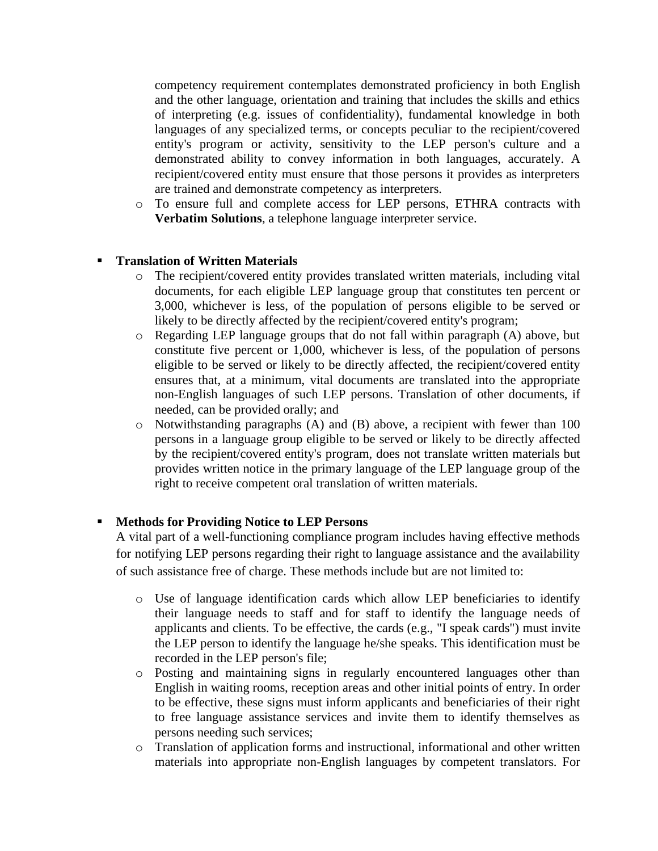competency requirement contemplates demonstrated proficiency in both English and the other language, orientation and training that includes the skills and ethics of interpreting (e.g. issues of confidentiality), fundamental knowledge in both languages of any specialized terms, or concepts peculiar to the recipient/covered entity's program or activity, sensitivity to the LEP person's culture and a demonstrated ability to convey information in both languages, accurately. A recipient/covered entity must ensure that those persons it provides as interpreters are trained and demonstrate competency as interpreters.

o To ensure full and complete access for LEP persons, ETHRA contracts with **Verbatim Solutions**, a telephone language interpreter service.

# **Translation of Written Materials**

- o The recipient/covered entity provides translated written materials, including vital documents, for each eligible LEP language group that constitutes ten percent or 3,000, whichever is less, of the population of persons eligible to be served or likely to be directly affected by the recipient/covered entity's program;
- o Regarding LEP language groups that do not fall within paragraph (A) above, but constitute five percent or 1,000, whichever is less, of the population of persons eligible to be served or likely to be directly affected, the recipient/covered entity ensures that, at a minimum, vital documents are translated into the appropriate non-English languages of such LEP persons. Translation of other documents, if needed, can be provided orally; and
- o Notwithstanding paragraphs (A) and (B) above, a recipient with fewer than 100 persons in a language group eligible to be served or likely to be directly affected by the recipient/covered entity's program, does not translate written materials but provides written notice in the primary language of the LEP language group of the right to receive competent oral translation of written materials.

## ▪ **Methods for Providing Notice to LEP Persons**

A vital part of a well-functioning compliance program includes having effective methods for notifying LEP persons regarding their right to language assistance and the availability of such assistance free of charge. These methods include but are not limited to:

- o Use of language identification cards which allow LEP beneficiaries to identify their language needs to staff and for staff to identify the language needs of applicants and clients. To be effective, the cards (e.g., "I speak cards") must invite the LEP person to identify the language he/she speaks. This identification must be recorded in the LEP person's file;
- o Posting and maintaining signs in regularly encountered languages other than English in waiting rooms, reception areas and other initial points of entry. In order to be effective, these signs must inform applicants and beneficiaries of their right to free language assistance services and invite them to identify themselves as persons needing such services;
- o Translation of application forms and instructional, informational and other written materials into appropriate non-English languages by competent translators. For